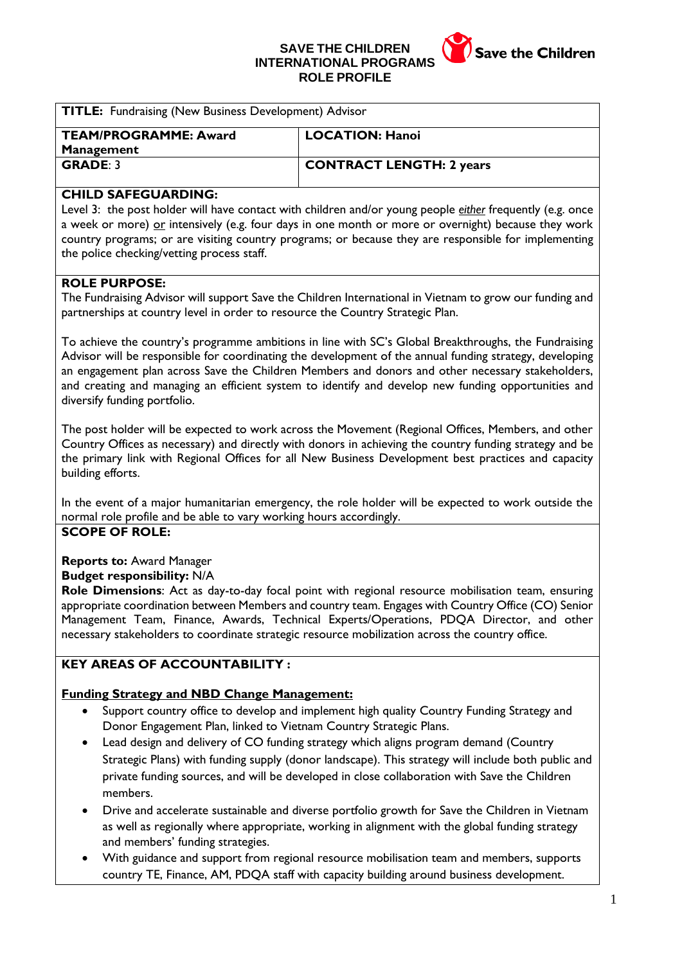**SAVE THE CHILDREN INTERNATIONAL PROGRAMS ROLE PROFILE**



| <b>TITLE:</b> Fundraising (New Business Development) Advisor |                                 |
|--------------------------------------------------------------|---------------------------------|
| <b>TEAM/PROGRAMME: Award</b><br><b>Management</b>            | <b>LOCATION: Hanoi</b>          |
| <b>GRADE: 3</b>                                              | <b>CONTRACT LENGTH: 2 years</b> |

### **CHILD SAFEGUARDING:**

Level 3: the post holder will have contact with children and/or young people *either* frequently (e.g. once a week or more) or intensively (e.g. four days in one month or more or overnight) because they work country programs; or are visiting country programs; or because they are responsible for implementing the police checking/vetting process staff.

### **ROLE PURPOSE:**

The Fundraising Advisor will support Save the Children International in Vietnam to grow our funding and partnerships at country level in order to resource the Country Strategic Plan.

To achieve the country's programme ambitions in line with SC's Global Breakthroughs, the Fundraising Advisor will be responsible for coordinating the development of the annual funding strategy, developing an engagement plan across Save the Children Members and donors and other necessary stakeholders, and creating and managing an efficient system to identify and develop new funding opportunities and diversify funding portfolio.

The post holder will be expected to work across the Movement (Regional Offices, Members, and other Country Offices as necessary) and directly with donors in achieving the country funding strategy and be the primary link with Regional Offices for all New Business Development best practices and capacity building efforts.

In the event of a major humanitarian emergency, the role holder will be expected to work outside the normal role profile and be able to vary working hours accordingly.

### **SCOPE OF ROLE:**

### **Reports to:** Award Manager

#### **Budget responsibility:** N/A

**Role Dimensions**: Act as day-to-day focal point with regional resource mobilisation team, ensuring appropriate coordination between Members and country team. Engages with Country Office (CO) Senior Management Team, Finance, Awards, Technical Experts/Operations, PDQA Director, and other necessary stakeholders to coordinate strategic resource mobilization across the country office.

## **KEY AREAS OF ACCOUNTABILITY :**

### **Funding Strategy and NBD Change Management:**

- Support country office to develop and implement high quality Country Funding Strategy and Donor Engagement Plan, linked to Vietnam Country Strategic Plans.
- Lead design and delivery of CO funding strategy which aligns program demand (Country Strategic Plans) with funding supply (donor landscape). This strategy will include both public and private funding sources, and will be developed in close collaboration with Save the Children members.
- Drive and accelerate sustainable and diverse portfolio growth for Save the Children in Vietnam as well as regionally where appropriate, working in alignment with the global funding strategy and members' funding strategies.
- With guidance and support from regional resource mobilisation team and members, supports country TE, Finance, AM, PDQA staff with capacity building around business development.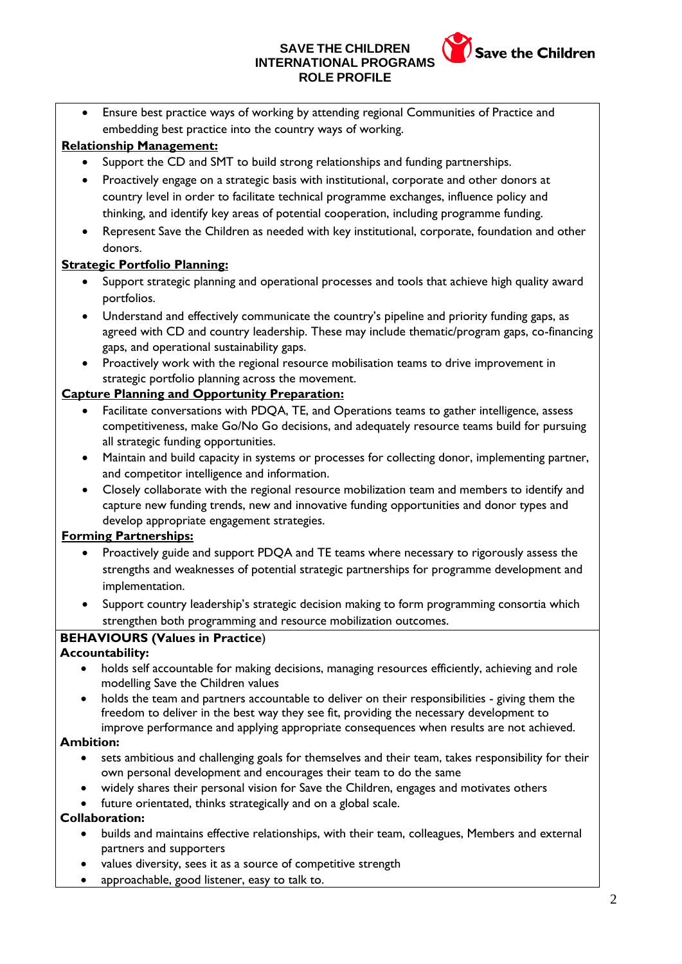# **SAVE THE CHILDREN INTERNATIONAL PROGRAMS ROLE PROFILE**



• Ensure best practice ways of working by attending regional Communities of Practice and embedding best practice into the country ways of working.

# **Relationship Management:**

- Support the CD and SMT to build strong relationships and funding partnerships.
- Proactively engage on a strategic basis with institutional, corporate and other donors at country level in order to facilitate technical programme exchanges, influence policy and thinking, and identify key areas of potential cooperation, including programme funding.
- Represent Save the Children as needed with key institutional, corporate, foundation and other donors.

# **Strategic Portfolio Planning:**

- Support strategic planning and operational processes and tools that achieve high quality award portfolios.
- Understand and effectively communicate the country's pipeline and priority funding gaps, as agreed with CD and country leadership. These may include thematic/program gaps, co-financing gaps, and operational sustainability gaps.
- Proactively work with the regional resource mobilisation teams to drive improvement in strategic portfolio planning across the movement.

## **Capture Planning and Opportunity Preparation:**

- Facilitate conversations with PDQA, TE, and Operations teams to gather intelligence, assess competitiveness, make Go/No Go decisions, and adequately resource teams build for pursuing all strategic funding opportunities.
- Maintain and build capacity in systems or processes for collecting donor, implementing partner, and competitor intelligence and information.
- Closely collaborate with the regional resource mobilization team and members to identify and capture new funding trends, new and innovative funding opportunities and donor types and develop appropriate engagement strategies.

## **Forming Partnerships:**

- Proactively guide and support PDQA and TE teams where necessary to rigorously assess the strengths and weaknesses of potential strategic partnerships for programme development and implementation.
- Support country leadership's strategic decision making to form programming consortia which strengthen both programming and resource mobilization outcomes.

## **BEHAVIOURS (Values in Practice**)

## **Accountability:**

- holds self accountable for making decisions, managing resources efficiently, achieving and role modelling Save the Children values
- holds the team and partners accountable to deliver on their responsibilities giving them the freedom to deliver in the best way they see fit, providing the necessary development to improve performance and applying appropriate consequences when results are not achieved.

### **Ambition:**

- sets ambitious and challenging goals for themselves and their team, takes responsibility for their own personal development and encourages their team to do the same
- widely shares their personal vision for Save the Children, engages and motivates others
- future orientated, thinks strategically and on a global scale.

## **Collaboration:**

- builds and maintains effective relationships, with their team, colleagues, Members and external partners and supporters
- values diversity, sees it as a source of competitive strength
- approachable, good listener, easy to talk to.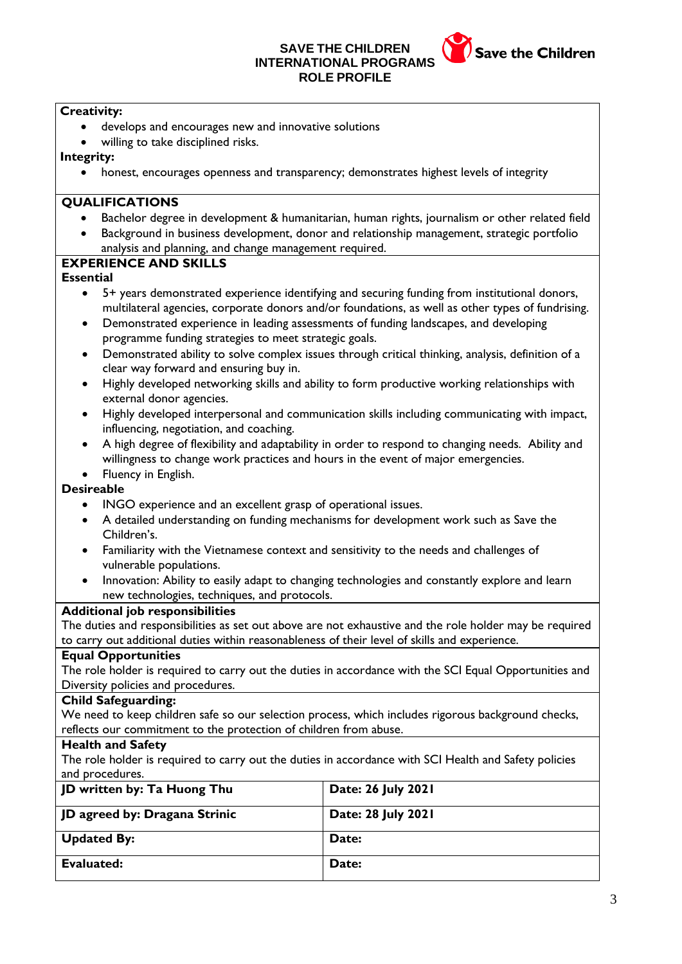### **SAVE THE CHILDREN INTERNATIONAL PROGRAM ROLE PROFILE**



### **Creativity:**

- develops and encourages new and innovative solutions
- willing to take disciplined risks.

#### **Integrity:**

• honest, encourages openness and transparency; demonstrates highest levels of integrity

#### **QUALIFICATIONS**

- Bachelor degree in development & humanitarian, human rights, journalism or other related field
- Background in business development, donor and relationship management, strategic portfolio analysis and planning, and change management required.

### **EXPERIENCE AND SKILLS**

#### **Essential**

- 5+ years demonstrated experience identifying and securing funding from institutional donors, multilateral agencies, corporate donors and/or foundations, as well as other types of fundrising.
- Demonstrated experience in leading assessments of funding landscapes, and developing programme funding strategies to meet strategic goals.
- Demonstrated ability to solve complex issues through critical thinking, analysis, definition of a clear way forward and ensuring buy in.
- Highly developed networking skills and ability to form productive working relationships with external donor agencies.
- Highly developed interpersonal and communication skills including communicating with impact, influencing, negotiation, and coaching.
- A high degree of flexibility and adaptability in order to respond to changing needs. Ability and willingness to change work practices and hours in the event of major emergencies.
- Fluency in English.

### **Desireable**

- INGO experience and an excellent grasp of operational issues.
- A detailed understanding on funding mechanisms for development work such as Save the Children's.
- Familiarity with the Vietnamese context and sensitivity to the needs and challenges of vulnerable populations.
- Innovation: Ability to easily adapt to changing technologies and constantly explore and learn new technologies, techniques, and protocols.

### **Additional job responsibilities**

The duties and responsibilities as set out above are not exhaustive and the role holder may be required to carry out additional duties within reasonableness of their level of skills and experience.

### **Equal Opportunities**

The role holder is required to carry out the duties in accordance with the SCI Equal Opportunities and Diversity policies and procedures.

#### **Child Safeguarding:**

We need to keep children safe so our selection process, which includes rigorous background checks, reflects our commitment to the protection of children from abuse.

### **Health and Safety**

The role holder is required to carry out the duties in accordance with SCI Health and Safety policies and procedures.

| JD written by: Ta Huong Thu   | Date: 26 July 2021 |
|-------------------------------|--------------------|
| JD agreed by: Dragana Strinic | Date: 28 July 2021 |
| <b>Updated By:</b>            | Date:              |
| Evaluated:                    | Date:              |